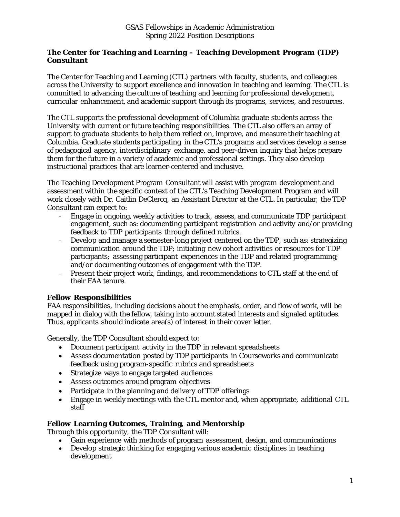# **The Center for Teaching and Learning – Teaching Development Program (TDP) Consultant**

The Center for Teaching and Learning (CTL) partners with faculty, students, and colleagues across the University to support excellence and innovation in teaching and learning. The CTL is committed to advancing the culture of teaching and learning for professional development, curricular enhancement, and academic support through its programs, services, and resources.

The CTL supports the professional development of Columbia graduate students across the University with current or future teaching responsibilities. The CTL also offers an array of support to graduate students to help them reflect on, improve, and measure their teaching at Columbia. Graduate students participating in the CTL's programs and services develop a sense of pedagogical agency, interdisciplinary exchange, and peer-driven inquiry that helps prepare them for the future in a variety of academic and professional settings. They also develop instructional practices that are learner-centered and inclusive.

The Teaching Development Program Consultant will assist with program development and assessment within the specific context of the CTL's Teaching Development Program and will work closely with Dr. Caitlin DeClercq, an Assistant Director at the CTL. In particular, the TDP Consultant can expect to:

- Engage in ongoing, weekly activities to track, assess, and communicate TDP participant engagement, such as: documenting participant registration and activity and/or providing feedback to TDP participants through defined rubrics.
- Develop and manage a semester-long project centered on the TDP, such as: strategizing communication around the TDP; initiating new cohort activities or resources for TDP participants; assessing participant experiences in the TDP and related programming; and/or documenting outcomes of engagement with the TDP.
- Present their project work, findings, and recommendations to CTL staff at the end of their FAA tenure.

## **Fellow Responsibilities**

FAA responsibilities, including decisions about the emphasis, order, and flow of work, will be mapped in dialog with the fellow, taking into account stated interests and signaled aptitudes. Thus, applicants should indicate area(s) of interest in their cover letter.

Generally, the TDP Consultant should expect to:

- Document participant activity in the TDP in relevant spreadsheets
- Assess documentation posted by TDP participants in Courseworks and communicate feedback using program-specific rubrics and spreadsheets
- Strategize ways to engage targeted audiences
- Assess outcomes around program objectives
- Participate in the planning and delivery of TDP offerings
- Engage in weekly meetings with the CTL mentor and, when appropriate, additional CTL staff

## **Fellow Learning Outcomes, Training, and Mentorship**

Through this opportunity, the TDP Consultant will:

- Gain experience with methods of program assessment, design, and communications
- Develop strategic thinking for engaging various academic disciplines in teaching development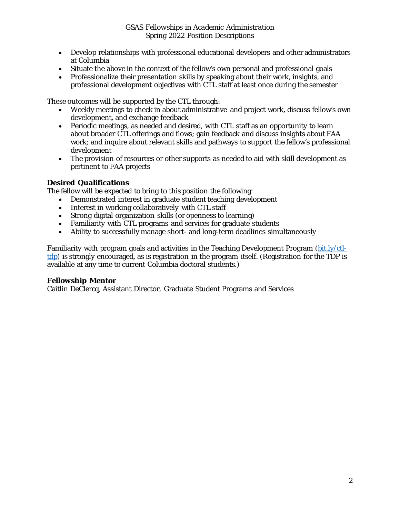- Develop relationships with professional educational developers and other administrators at Columbia
- Situate the above in the context of the fellow's own personal and professional goals
- Professionalize their presentation skills by speaking about their work, insights, and professional development objectives with CTL staff at least once during the semester

These outcomes will be supported by the CTL through:

- Weekly meetings to check in about administrative and project work, discuss fellow's own development, and exchange feedback
- Periodic meetings, as needed and desired, with CTL staff as an opportunity to learn about broader CTL offerings and flows; gain feedback and discuss insights about FAA work; and inquire about relevant skills and pathways to support the fellow's professional development
- The provision of resources or other supports as needed to aid with skill development as pertinent to FAA projects

## **Desired Qualifications**

The fellow will be expected to bring to this position the following:

- Demonstrated interest in graduate student teaching development
- Interest in working collaboratively with CTL staff
- Strong digital organization skills (or openness to learning)
- Familiarity with CTL programs and services for graduate students
- Ability to successfully manage short- and long-term deadlines simultaneously

Familiarity with program goals and activities in the Teaching Development Program [\(bit.ly/ctl](http://bit.ly/ctl-tdp)[tdp\)](http://bit.ly/ctl-tdp) is strongly encouraged, as is registration in the program itself. (Registration for the TDP is available at any time to current Columbia doctoral students.)

#### **Fellowship Mentor**

Caitlin DeClercq, Assistant Director, Graduate Student Programs and Services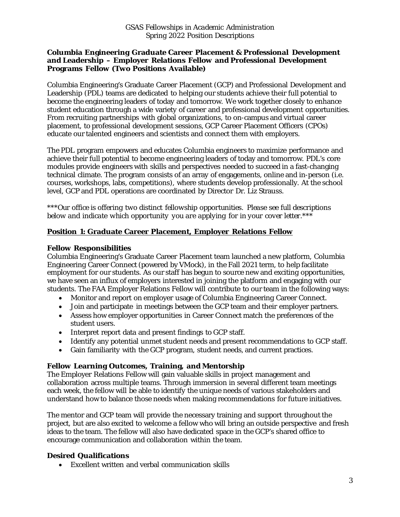#### **Columbia Engineering Graduate Career Placement & Professional Development and Leadership – Employer Relations Fellow and Professional Development Programs Fellow (Two Positions Available)**

Columbia Engineering's Graduate Career Placement (GCP) and Professional Development and Leadership (PDL) teams are dedicated to helping our students achieve their full potential to become the engineering leaders of today and tomorrow. We work together closely to enhance student education through a wide variety of career and professional development opportunities. From recruiting partnerships with global organizations, to on-campus and virtual career placement, to professional development sessions, GCP Career Placement Officers (CPOs) educate our talented engineers and scientists and connect them with employers.

The PDL program empowers and educates Columbia engineers to maximize performance and achieve their full potential to become engineering leaders of today and tomorrow. PDL's core modules provide engineers with skills and perspectives needed to succeed in a fast-changing technical climate. The program consists of an array of engagements, online and in-person (i.e. courses, workshops, labs, competitions), where students develop professionally. At the school level, GCP and PDL operations are coordinated by Director Dr. Liz Strauss.

*\*\*\*Our office is offering two distinct fellowship opportunities. Please see full descriptions below and indicate which opportunity you are applying for in your cover letter.\*\*\**

## **Position 1: Graduate Career Placement, Employer Relations Fellow**

## **Fellow Responsibilities**

Columbia Engineering's Graduate Career Placement team launched a new platform, Columbia Engineering Career Connect (powered by VMock), in the Fall 2021 term, to help facilitate employment for our students. As our staff has begun to source new and exciting opportunities, we have seen an influx of employers interested in joining the platform and engaging with our students. The FAA Employer Relations Fellow will contribute to our team in the following ways:

- Monitor and report on employer usage of Columbia Engineering Career Connect.
- Join and participate in meetings between the GCP team and their employer partners.
- Assess how employer opportunities in Career Connect match the preferences of the student users.
- Interpret report data and present findings to GCP staff.
- Identify any potential unmet student needs and present recommendations to GCP staff.
- Gain familiarity with the GCP program, student needs, and current practices.

## **Fellow Learning Outcomes, Training, and Mentorship**

The Employer Relations Fellow will gain valuable skills in project management and collaboration across multiple teams. Through immersion in several different team meetings each week, the fellow will be able to identify the unique needs of various stakeholders and understand how to balance those needs when making recommendations for future initiatives.

The mentor and GCP team will provide the necessary training and support throughout the project, but are also excited to welcome a fellow who will bring an outside perspective and fresh ideas to the team. The fellow will also have dedicated space in the GCP's shared office to encourage communication and collaboration within the team.

## **Desired Qualifications**

• Excellent written and verbal communication skills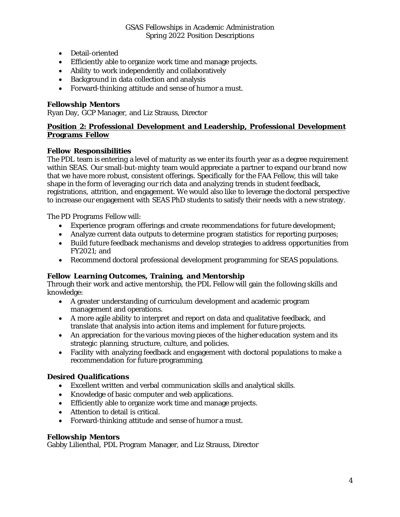- Detail-oriented
- Efficiently able to organize work time and manage projects.
- Ability to work independently and collaboratively
- Background in data collection and analysis
- Forward-thinking attitude and sense of humor a must.

# **Fellowship Mentors**

Ryan Day, GCP Manager, and Liz Strauss, Director

## **Position 2: Professional Development and Leadership, Professional Development Programs Fellow**

## **Fellow Responsibilities**

The PDL team is entering a level of maturity as we enter its fourth year as a degree requirement within SEAS. Our small-but-mighty team would appreciate a partner to expand our brand now that we have more robust, consistent offerings. Specifically for the FAA Fellow, this will take shape in the form of leveraging our rich data and analyzing trends in student feedback, registrations, attrition, and engagement. We would also like to leverage the doctoral perspective to increase our engagement with SEAS PhD students to satisfy their needs with a new strategy.

The PD Programs Fellow will:

- Experience program offerings and create recommendations for future development;
- Analyze current data outputs to determine program statistics for reporting purposes;
- Build future feedback mechanisms and develop strategies to address opportunities from FY2021; and
- Recommend doctoral professional development programming for SEAS populations.

## **Fellow Learning Outcomes, Training, and Mentorship**

Through their work and active mentorship, the PDL Fellow will gain the following skills and knowledge:

- A greater understanding of curriculum development and academic program management and operations.
- A more agile ability to interpret and report on data and qualitative feedback, and translate that analysis into action items and implement for future projects.
- An appreciation for the various moving pieces of the higher education system and its strategic planning, structure, culture, and policies.
- Facility with analyzing feedback and engagement with doctoral populations to make a recommendation for future programming.

## **Desired Qualifications**

- Excellent written and verbal communication skills and analytical skills.
- Knowledge of basic computer and web applications.
- Efficiently able to organize work time and manage projects.
- Attention to detail is critical.
- Forward-thinking attitude and sense of humor a must.

## **Fellowship Mentors**

Gabby Lilienthal, PDL Program Manager, and Liz Strauss, Director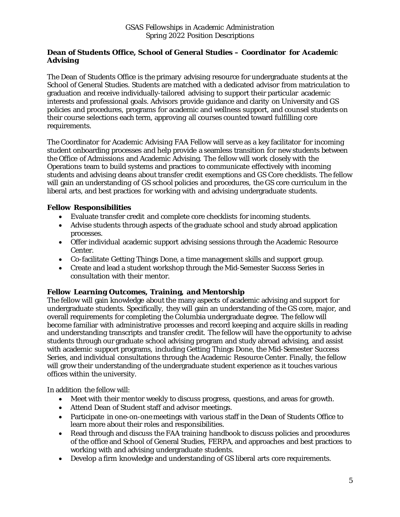# **Dean of Students Office, School of General Studies – Coordinator for Academic Advising**

The Dean of Students Office is the primary advising resource for undergraduate students at the School of General Studies. Students are matched with a dedicated advisor from matriculation to graduation and receive individually-tailored advising to support their particular academic interests and professional goals. Advisors provide guidance and clarity on University and GS policies and procedures, programs for academic and wellness support, and counsel students on their course selections each term, approving all courses counted toward fulfilling core requirements.

The Coordinator for Academic Advising FAA Fellow will serve as a key facilitator for incoming student onboarding processes and help provide a seamless transition for new students between the Office of Admissions and Academic Advising. The fellow will work closely with the Operations team to build systems and practices to communicate effectively with incoming students and advising deans about transfer credit exemptions and GS Core checklists. The fellow will gain an understanding of GS school policies and procedures, the GS core curriculum in the liberal arts, and best practices for working with and advising undergraduate students.

## **Fellow Responsibilities**

- Evaluate transfer credit and complete core checklists for incoming students.
- Advise students through aspects of the graduate school and study abroad application processes.
- Offer individual academic support advising sessions through the Academic Resource Center.
- Co-facilitate Getting Things Done, a time management skills and support group.
- Create and lead a student workshop through the Mid-Semester Success Series in consultation with their mentor.

## **Fellow Learning Outcomes, Training, and Mentorship**

The fellow will gain knowledge about the many aspects of academic advising and support for undergraduate students. Specifically, they will gain an understanding of the GS core, major, and overall requirements for completing the Columbia undergraduate degree. The fellow will become familiar with administrative processes and record keeping and acquire skills in reading and understanding transcripts and transfer credit. The fellow will have the opportunity to advise students through our graduate school advising program and study abroad advising, and assist with academic support programs, including Getting Things Done, the Mid-Semester Success Series, and individual consultations through the Academic Resource Center. Finally, the fellow will grow their understanding of the undergraduate student experience as it touches various offices within the university.

In addition the fellow will:

- Meet with their mentor weekly to discuss progress, questions, and areas for growth.
- Attend Dean of Student staff and advisor meetings.
- Participate in one-on-one meetings with various staff in the Dean of Students Office to learn more about their roles and responsibilities.
- Read through and discuss the FAA training handbook to discuss policies and procedures of the office and School of General Studies, FERPA, and approaches and best practices to working with and advising undergraduate students.
- Develop a firm knowledge and understanding of GS liberal arts core requirements.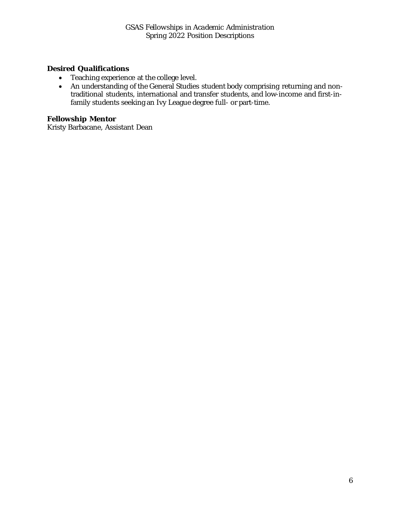# **Desired Qualifications**

- Teaching experience at the college level.
- An understanding of the General Studies student body comprising returning and nontraditional students, international and transfer students, and low-income and first-infamily students seeking an Ivy League degree full- or part-time.

## **Fellowship Mentor**

Kristy Barbacane, Assistant Dean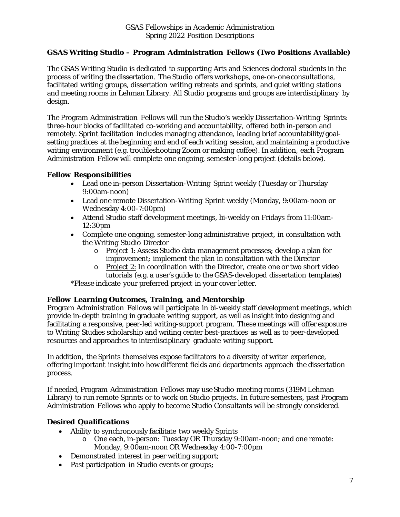# **GSAS Writing Studio – Program Administration Fellows (Two Positions Available)**

The GSAS Writing Studio is dedicated to supporting Arts and Sciences doctoral students in the process of writing the dissertation. The Studio offers workshops, one-on-one consultations, facilitated writing groups, dissertation writing retreats and sprints, and quiet writing stations and meeting rooms in Lehman Library. All Studio programs and groups are interdisciplinary by design.

The Program Administration Fellows will run the Studio's weekly Dissertation-Writing Sprints: three-hour blocks of facilitated co-working and accountability, offered both in-person and remotely. Sprint facilitation includes managing attendance, leading brief accountability/goalsetting practices at the beginning and end of each writing session, and maintaining a productive writing environment (e.g. troubleshooting Zoom or making coffee). In addition, each Program Administration Fellow will complete one ongoing, semester-long project (details below).

# **Fellow Responsibilities**

- Lead one in-person Dissertation-Writing Sprint weekly (Tuesday or Thursday 9:00am-noon)
- Lead one remote Dissertation-Writing Sprint weekly (Monday, 9:00am-noon or Wednesday 4:00-7:00pm)
- Attend Studio staff development meetings, bi-weekly on Fridays from 11:00am-12:30pm
- Complete one ongoing, semester-long administrative project, in consultation with the Writing Studio Director
	- o Project 1: Assess Studio data management processes; develop a plan for improvement; implement the plan in consultation with the Director
	- $\circ$  Project 2: In coordination with the Director, create one or two short video tutorials (e.g. a user's guide to the GSAS-developed dissertation templates)

\*Please indicate your preferred project in your cover letter.

## **Fellow Learning Outcomes, Training, and Mentorship**

Program Administration Fellows will participate in bi-weekly staff development meetings, which provide in-depth training in graduate writing support, as well as insight into designing and facilitating a responsive, peer-led writing-support program. These meetings will offer exposure to Writing Studies scholarship and writing center best-practices as well as to peer-developed resources and approaches to interdisciplinary graduate writing support.

In addition, the Sprints themselves expose facilitators to a diversity of writer experience, offering important insight into how different fields and departments approach the dissertation process.

If needed, Program Administration Fellows may use Studio meeting rooms (319M Lehman Library) to run remote Sprints or to work on Studio projects. In future semesters, past Program Administration Fellows who apply to become Studio Consultants will be strongly considered.

## **Desired Qualifications**

- Ability to synchronously facilitate two weekly Sprints
	- o One each, in-person: Tuesday OR Thursday 9:00am-noon; and one remote: Monday, 9:00am-noon OR Wednesday 4:00-7:00pm
- Demonstrated interest in peer writing support;
- Past participation in Studio events or groups;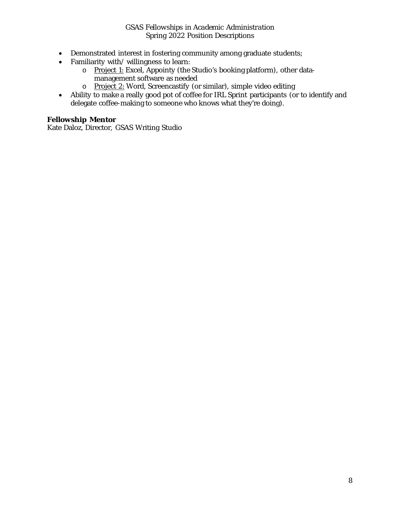- Demonstrated interest in fostering community among graduate students;
- Familiarity with/ willingness to learn:
	- o Project 1: Excel, Appointy (the Studio's booking platform), other datamanagement software as needed
	- o Project 2: Word, Screencastify (or similar), simple video editing
- Ability to make a really good pot of coffee for IRL Sprint participants (or to identify and delegate coffee-making to someone who knows what they're doing).

# **Fellowship Mentor**

Kate Daloz, Director, GSAS Writing Studio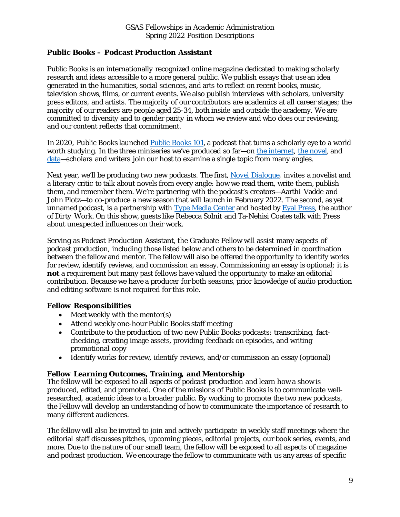# *Public Books* **– Podcast Production Assistant**

*Public Books* is an internationally recognized online magazine dedicated to making scholarly research and ideas accessible to a more general public. We publish essays that use an idea generated in the humanities, social sciences, and arts to reflect on recent books, music, television shows, films, or current events. We also publish interviews with scholars, university press editors, and artists. The majority of our contributors are academics at all career stages; the majority of our readers are people aged 25-34, both inside and outside the academy. We are committed to diversity and to gender parity in whom we review and who does our reviewing, and our content reflects that commitment.

In 2020, Public Books launched *[Public Books 101](https://www.publicbooks.org/podcast/)*, a podcast that turns a scholarly eye to a world worth studying. In the three miniseries we've produced so far—on [the internet,](https://www.publicbooks.org/category/podcast/season-one/) [the novel,](https://www.publicbooks.org/category/podcast/season-two/) and [data—](https://www.publicbooks.org/category/podcast/season-three/)scholars and writers join our host to examine a single topic from many angles.

Next year, we'll be producing two new podcasts. The first, *[Novel Dialogue](https://noveldialogue.org/about/)*, invites a novelist and a literary critic to talk about novels from every angle: how we read them, write them, publish them, and remember them. We're partnering with the podcast's creators—Aarthi Vadde and John Plotz—to co-produce a new season that will launch in February 2022. The second, as yet unnamed podcast, is a partnership with [Type Media Center](https://typemediacenter.org/) and hosted by [Eyal Press,](https://www.eyalpress.com/) the author of *Dirty Work*. On this show, guests like Rebecca Solnit and Ta-Nehisi Coates talk with Press about unexpected influences on their work.

Serving as Podcast Production Assistant, the Graduate Fellow will assist many aspects of podcast production, including those listed below and others to be determined in coordination between the fellow and mentor. The fellow will also be offered the opportunity to identify works for review, identify reviews, and commission an essay. Commissioning an essay is optional; it is **not** a requirement but many past fellows have valued the opportunity to make an editorial contribution. Because we have a producer for both seasons, prior knowledge of audio production and editing software is not required for this role.

## **Fellow Responsibilities**

- Meet weekly with the mentor(s)
- Attend weekly one-hour *Public Books* staff meeting
- Contribute to the production of two new *Public* Books podcasts: transcribing, factchecking, creating image assets, providing feedback on episodes, and writing promotional copy
- Identify works for review, identify reviews, and/or commission an essay (optional)

## **Fellow Learning Outcomes, Training, and Mentorship**

The fellow will be exposed to all aspects of podcast production and learn how a show is produced, edited, and promoted. One of the missions of *Public Books* is to communicate wellresearched, academic ideas to a broader public. By working to promote the two new podcasts, the Fellow will develop an understanding of how to communicate the importance of research to many different audiences.

The fellow will also be invited to join and actively participate in weekly staff meetings where the editorial staff discusses pitches, upcoming pieces, editorial projects, our book series, events, and more. Due to the nature of our small team, the fellow will be exposed to all aspects of magazine and podcast production. We encourage the fellow to communicate with us any areas of specific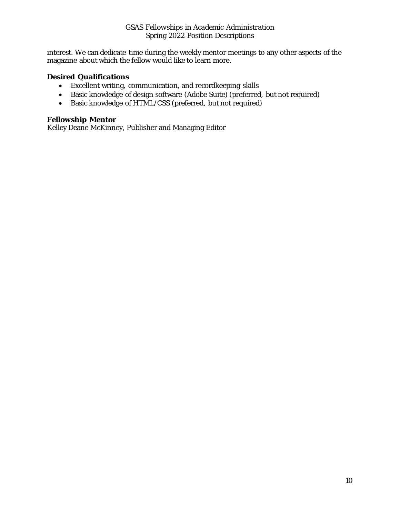#### GSAS *Fellowships in Academic Administration* Spring 2022 Position Descriptions

interest. We can dedicate time during the weekly mentor meetings to any other aspects of the magazine about which the fellow would like to learn more.

## **Desired Qualifications**

- Excellent writing, communication, and recordkeeping skills
- Basic knowledge of design software (Adobe Suite) (preferred, but not required)
- Basic knowledge of HTML/CSS (preferred, but not required)

#### **Fellowship Mentor**

Kelley Deane McKinney, Publisher and Managing Editor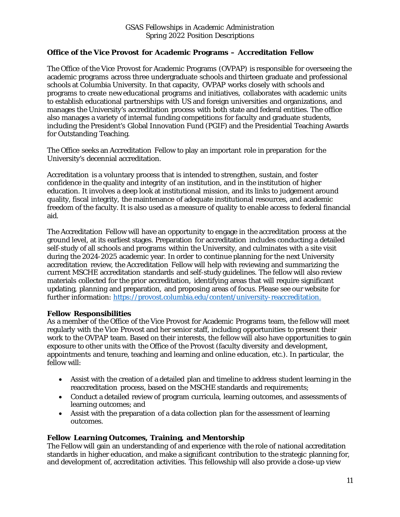# **Office of the Vice Provost for Academic Programs – Accreditation Fellow**

The Office of the Vice Provost for Academic Programs (OVPAP) is responsible for overseeing the academic programs across three undergraduate schools and thirteen graduate and professional schools at Columbia University. In that capacity, OVPAP works closely with schools and programs to create new educational programs and initiatives, collaborates with academic units to establish educational partnerships with US and foreign universities and organizations, and manages the University's accreditation process with both state and federal entities. The office also manages a variety of internal funding competitions for faculty and graduate students, including the President's Global Innovation Fund (PGIF) and the Presidential Teaching Awards for Outstanding Teaching.

The Office seeks an Accreditation Fellow to play an important role in preparation for the University's decennial accreditation.

Accreditation is a voluntary process that is intended to strengthen, sustain, and foster confidence in the quality and integrity of an institution, and in the institution of higher education. It involves a deep look at institutional mission, and its links to judgement around quality, fiscal integrity, the maintenance of adequate institutional resources, and academic freedom of the faculty. It is also used as a measure of quality to enable access to federal financial aid.

The Accreditation Fellow will have an opportunity to engage in the accreditation process at the ground level, at its earliest stages. Preparation for accreditation includes conducting a detailed self-study of all schools and programs within the University, and culminates with a site visit during the 2024-2025 academic year. In order to continue planning for the next University accreditation review, the Accreditation Fellow will help with reviewing and summarizing the current MSCHE accreditation standards and self-study guidelines. The fellow will also review materials collected for the prior accreditation, identifying areas that will require significant updating, planning and preparation, and proposing areas of focus. Please see our website for further information: [https://provost.columbia.edu/content/university-reaccreditation.](https://provost.columbia.edu/content/university-reaccreditation)

#### **Fellow Responsibilities**

As a member of the Office of the Vice Provost for Academic Programs team, the fellow will meet regularly with the Vice Provost and her senior staff, including opportunities to present their work to the OVPAP team. Based on their interests, the fellow will also have opportunities to gain exposure to other units with the Office of the Provost (faculty diversity and development, appointments and tenure, teaching and learning and online education, etc.). In particular, the fellow will:

- Assist with the creation of a detailed plan and timeline to address student learning in the reaccreditation process, based on the MSCHE standards and requirements;
- Conduct a detailed review of program curricula, learning outcomes, and assessments of learning outcomes; and
- Assist with the preparation of a data collection plan for the assessment of learning outcomes.

## **Fellow Learning Outcomes, Training, and Mentorship**

The Fellow will gain an understanding of and experience with the role of national accreditation standards in higher education, and make a significant contribution to the strategic planning for, and development of, accreditation activities. This fellowship will also provide a close-up view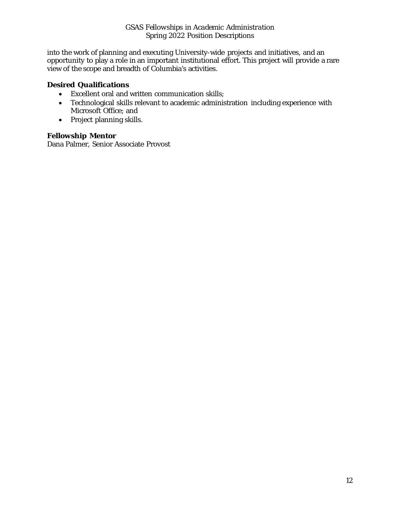#### GSAS *Fellowships in Academic Administration* Spring 2022 Position Descriptions

into the work of planning and executing University-wide projects and initiatives, and an opportunity to play a role in an important institutional effort. This project will provide a rare view of the scope and breadth of Columbia's activities.

#### **Desired Qualifications**

- Excellent oral and written communication skills;
- Technological skills relevant to academic administration including experience with Microsoft Office; and
- Project planning skills.

#### **Fellowship Mentor**

Dana Palmer, Senior Associate Provost